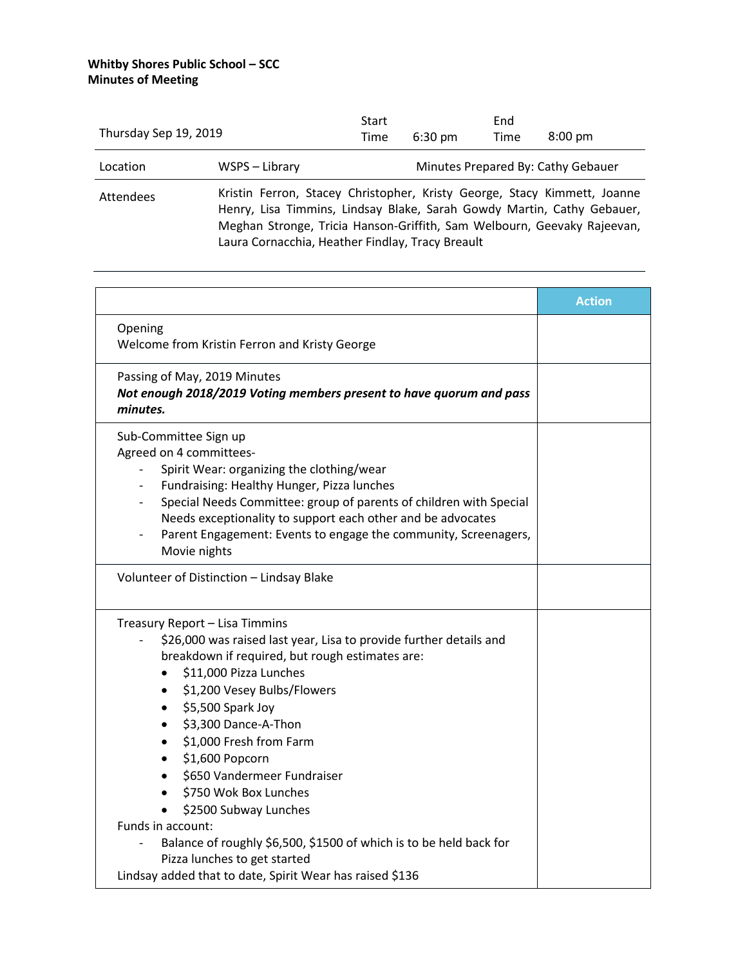| Thursday Sep 19, 2019 |                                                                                                                                                                                                                                                                                   | Start<br>Time | $6:30 \text{ pm}$ | End<br>Time | $8:00 \text{ pm}$                  |
|-----------------------|-----------------------------------------------------------------------------------------------------------------------------------------------------------------------------------------------------------------------------------------------------------------------------------|---------------|-------------------|-------------|------------------------------------|
| Location              | WSPS – Library                                                                                                                                                                                                                                                                    |               |                   |             | Minutes Prepared By: Cathy Gebauer |
| Attendees             | Kristin Ferron, Stacey Christopher, Kristy George, Stacy Kimmett, Joanne<br>Henry, Lisa Timmins, Lindsay Blake, Sarah Gowdy Martin, Cathy Gebauer,<br>Meghan Stronge, Tricia Hanson-Griffith, Sam Welbourn, Geevaky Rajeevan,<br>Laura Cornacchia, Heather Findlay, Tracy Breault |               |                   |             |                                    |

|                                                                                                                                                                                                                                                                                                                                                                                                                        | <b>Action</b> |
|------------------------------------------------------------------------------------------------------------------------------------------------------------------------------------------------------------------------------------------------------------------------------------------------------------------------------------------------------------------------------------------------------------------------|---------------|
| Opening<br>Welcome from Kristin Ferron and Kristy George                                                                                                                                                                                                                                                                                                                                                               |               |
| Passing of May, 2019 Minutes<br>Not enough 2018/2019 Voting members present to have quorum and pass<br>minutes.                                                                                                                                                                                                                                                                                                        |               |
| Sub-Committee Sign up<br>Agreed on 4 committees-<br>Spirit Wear: organizing the clothing/wear<br>Fundraising: Healthy Hunger, Pizza lunches<br>Special Needs Committee: group of parents of children with Special<br>Needs exceptionality to support each other and be advocates<br>Parent Engagement: Events to engage the community, Screenagers,<br>Movie nights                                                    |               |
| Volunteer of Distinction - Lindsay Blake                                                                                                                                                                                                                                                                                                                                                                               |               |
| Treasury Report - Lisa Timmins<br>\$26,000 was raised last year, Lisa to provide further details and<br>breakdown if required, but rough estimates are:<br>\$11,000 Pizza Lunches<br>\$1,200 Vesey Bulbs/Flowers<br>$\bullet$<br>\$5,500 Spark Joy<br>$\bullet$<br>\$3,300 Dance-A-Thon<br>\$1,000 Fresh from Farm<br>\$1,600 Popcorn<br>\$650 Vandermeer Fundraiser<br>\$750 Wok Box Lunches<br>\$2500 Subway Lunches |               |
| Funds in account:<br>Balance of roughly \$6,500, \$1500 of which is to be held back for<br>Pizza lunches to get started<br>Lindsay added that to date, Spirit Wear has raised \$136                                                                                                                                                                                                                                    |               |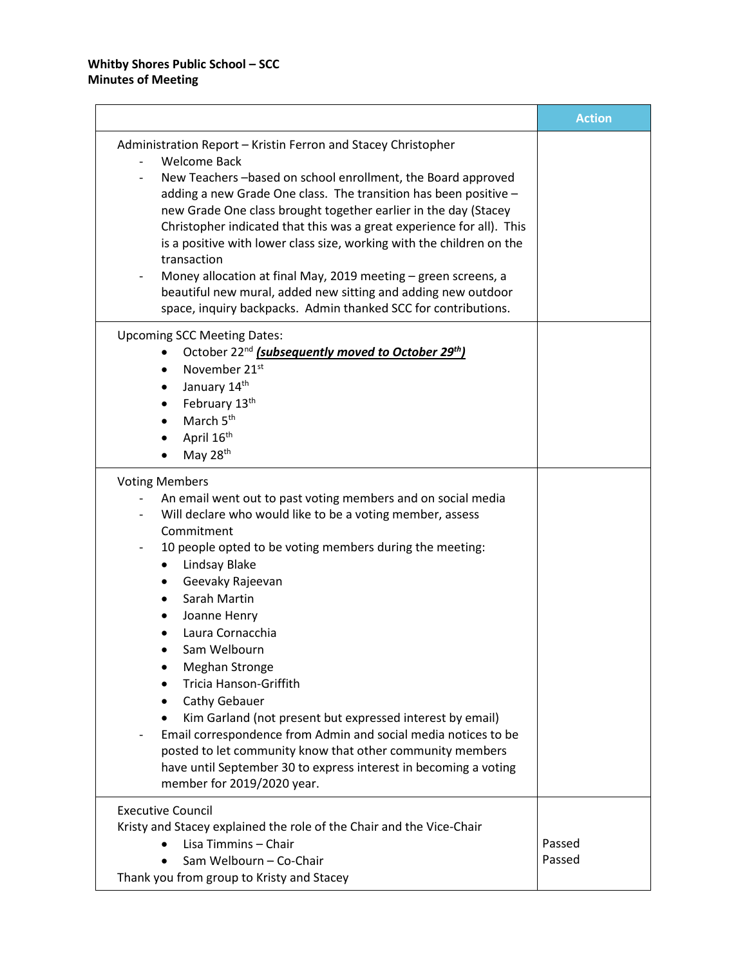|                                                                            | <b>Action</b> |
|----------------------------------------------------------------------------|---------------|
| Administration Report - Kristin Ferron and Stacey Christopher              |               |
| <b>Welcome Back</b>                                                        |               |
| New Teachers-based on school enrollment, the Board approved                |               |
| adding a new Grade One class. The transition has been positive -           |               |
| new Grade One class brought together earlier in the day (Stacey            |               |
| Christopher indicated that this was a great experience for all). This      |               |
| is a positive with lower class size, working with the children on the      |               |
| transaction                                                                |               |
| Money allocation at final May, 2019 meeting - green screens, a             |               |
| beautiful new mural, added new sitting and adding new outdoor              |               |
| space, inquiry backpacks. Admin thanked SCC for contributions.             |               |
| <b>Upcoming SCC Meeting Dates:</b>                                         |               |
| October 22 <sup>nd</sup> (subsequently moved to October 29 <sup>th</sup> ) |               |
| November 21 <sup>st</sup>                                                  |               |
| January 14th                                                               |               |
| February 13th                                                              |               |
| March 5 <sup>th</sup>                                                      |               |
| April 16 <sup>th</sup>                                                     |               |
| May 28th                                                                   |               |
| <b>Voting Members</b>                                                      |               |
| An email went out to past voting members and on social media               |               |
| Will declare who would like to be a voting member, assess                  |               |
| Commitment                                                                 |               |
| 10 people opted to be voting members during the meeting:                   |               |
| Lindsay Blake                                                              |               |
| Geevaky Rajeevan                                                           |               |
| Sarah Martin                                                               |               |
| Joanne Henry                                                               |               |
| Laura Cornacchia                                                           |               |
| Sam Welbourn                                                               |               |
| <b>Meghan Stronge</b>                                                      |               |
| <b>Tricia Hanson-Griffith</b>                                              |               |
| Cathy Gebauer                                                              |               |
| Kim Garland (not present but expressed interest by email)                  |               |
| Email correspondence from Admin and social media notices to be             |               |
| posted to let community know that other community members                  |               |
| have until September 30 to express interest in becoming a voting           |               |
| member for 2019/2020 year.                                                 |               |
| <b>Executive Council</b>                                                   |               |
| Kristy and Stacey explained the role of the Chair and the Vice-Chair       |               |
| Lisa Timmins - Chair                                                       | Passed        |
| Sam Welbourn - Co-Chair                                                    | Passed        |
| Thank you from group to Kristy and Stacey                                  |               |